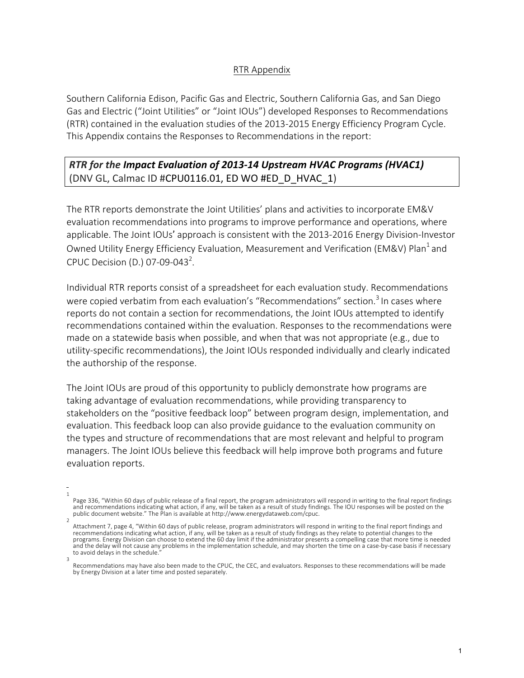## RTR Appendix

Southern California Edison, Pacific Gas and Electric, Southern California Gas, and San Diego Gas and Electric ("Joint Utilities" or "Joint IOUs") developed Responses to Recommendations (RTR) contained in the evaluation studies of the 2013-2015 Energy Efficiency Program Cycle. This Appendix contains the Responses to Recommendations in the report:

## *RTR* for the Impact Evaluation of 2013-14 Upstream HVAC Programs (HVAC1) (DNV GL, Calmac ID #CPU0116.01, ED WO #ED\_D\_HVAC\_1)

The RTR reports demonstrate the Joint Utilities' plans and activities to incorporate EM&V evaluation recommendations into programs to improve performance and operations, where applicable. The Joint IOUs' approach is consistent with the 2013-2016 Energy Division-Investor Owned Utility Energy Efficiency Evaluation, Measurement and Verification (EM&V) Plan<sup>1</sup> and CPUC Decision (D.) 07-09-043<sup>2</sup>.

Individual RTR reports consist of a spreadsheet for each evaluation study. Recommendations were copied verbatim from each evaluation's "Recommendations" section.<sup>3</sup> In cases where reports do not contain a section for recommendations, the Joint IOUs attempted to identify recommendations contained within the evaluation. Responses to the recommendations were made on a statewide basis when possible, and when that was not appropriate (e.g., due to utility-specific recommendations), the Joint IOUs responded individually and clearly indicated the authorship of the response.

The Joint IOUs are proud of this opportunity to publicly demonstrate how programs are taking advantage of evaluation recommendations, while providing transparency to stakeholders on the "positive feedback loop" between program design, implementation, and evaluation. This feedback loop can also provide guidance to the evaluation community on the types and structure of recommendations that are most relevant and helpful to program managers. The Joint IOUs believe this feedback will help improve both programs and future evaluation reports.

<sup>1</sup> Page 336, "Within 60 days of public release of a final report, the program administrators will respond in writing to the final report findings<br>and recommendations indicating what action, if any, will be taken as a result o

<sup>2</sup> Attachment 7, page 4, "Within 60 days of public release, program administrators will respond in writing to the final report findings and recommendations indicating what action, if any, will be taken as a result of study findings as they relate to potential changes to the programs. Energy Division can choose to extend the 60 day limit if the administrator presents a compelling case that more time is needed and the delay will not cause any problems in the implementation schedule, and may shorten the time on a case-by-case basis if necessary to avoid delays in the schedule.

<sup>3</sup> Recommendations may have also been made to the CPUC, the CEC, and evaluators. Responses to these recommendations will be made by Energy Division at a later time and posted separately.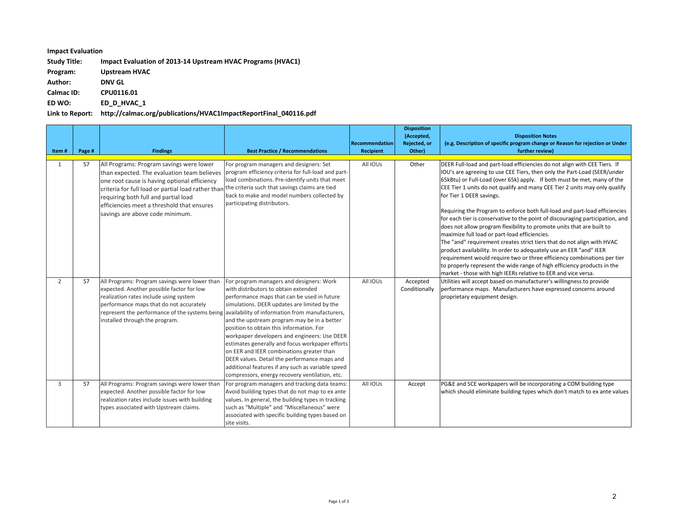## **Impact Evaluation**

Study Title: **Impact Evaluation of 2013-14 Upstream HVAC Programs (HVAC1)** 

**Program: Upstream HVAC**

**Author: DNV GL**

**Calmac ID: CPU0116.01**

**ED WO: ED\_D\_HVAC\_1**

## Link to Report: http://calmac.org/publications/HVAC1ImpactReportFinal\_040116.pdf

| Item#          | Page # | <b>Findings</b>                                                                                                                                                                                                                                                                                                                                                       | <b>Best Practice / Recommendations</b>                                                                                                                                                                                                                                                                                                                                                                                                                                                                                                                                            | Recommendation<br>Recipient | <b>Disposition</b><br>(Accepted,<br>Rejected, or<br>Other) | <b>Disposition Notes</b><br>(e.g. Description of specific program change or Reason for rejection or Under<br>further review)                                                                                                                                                                                                                                                                                                                                                                                                                                                                                                                                                                                                                                                                                                                                                                                                                                                                                |
|----------------|--------|-----------------------------------------------------------------------------------------------------------------------------------------------------------------------------------------------------------------------------------------------------------------------------------------------------------------------------------------------------------------------|-----------------------------------------------------------------------------------------------------------------------------------------------------------------------------------------------------------------------------------------------------------------------------------------------------------------------------------------------------------------------------------------------------------------------------------------------------------------------------------------------------------------------------------------------------------------------------------|-----------------------------|------------------------------------------------------------|-------------------------------------------------------------------------------------------------------------------------------------------------------------------------------------------------------------------------------------------------------------------------------------------------------------------------------------------------------------------------------------------------------------------------------------------------------------------------------------------------------------------------------------------------------------------------------------------------------------------------------------------------------------------------------------------------------------------------------------------------------------------------------------------------------------------------------------------------------------------------------------------------------------------------------------------------------------------------------------------------------------|
| 1              | 57     | All Programs: Program savings were lower<br>than expected. The evaluation team believes<br>one root cause is having optional efficiency<br>criteria for full load or partial load rather than the criteria such that savings claims are tied<br>requiring both full and partial load<br>efficiencies meet a threshold that ensures<br>savings are above code minimum. | For program managers and designers: Set<br>program efficiency criteria for full-load and part-<br>load combinations. Pre-identify units that meet<br>back to make and model numbers collected by<br>participating distributors.                                                                                                                                                                                                                                                                                                                                                   | All IOUs                    | Other                                                      | DEER Full-load and part-load efficiencies do not align with CEE Tiers. If<br>IOU's are agreeing to use CEE Tiers, then only the Part-Load (SEER/under<br>65kBtu) or Full-Load (over 65k) apply. If both must be met, many of the<br>CEE Tier 1 units do not qualify and many CEE Tier 2 units may only qualify<br>for Tier 1 DEER savings.<br>Requiring the Program to enforce both full-load and part-load efficiencies<br>for each tier is conservative to the point of discouraging participation, and<br>does not allow program flexibility to promote units that are built to<br>maximize full load or part-load efficiencies.<br>The "and" requirement creates strict tiers that do not align with HVAC<br>product availability. In order to adequately use an EER "and" IEER<br>requirement would require two or three efficiency combinations per tier<br>to properly represent the wide range of high efficiency products in the<br>market - those with high IEERs relative to EER and vice versa. |
| $\overline{2}$ | 57     | All Programs: Program savings were lower than<br>expected. Another possible factor for low<br>realization rates include using system<br>performance maps that do not accurately<br>represent the performance of the systems being availability of information from manufacturers,<br>installed through the program.                                                   | For program managers and designers: Work<br>with distributors to obtain extended<br>performance maps that can be used in future<br>simulations. DEER updates are limited by the<br>and the upstream program may be in a better<br>position to obtain this information. For<br>workpaper developers and engineers: Use DEER<br>estimates generally and focus workpaper efforts<br>on EER and IEER combinations greater than<br>DEER values. Detail the performance maps and<br>additional features if any such as variable speed<br>compressors, energy recovery ventilation, etc. | All IOUs                    | Accepted<br>Conditionally                                  | Utilities will accept based on manufacturer's willingness to provide<br>performance maps. Manufacturers have expressed concerns around<br>proprietary equipment design.                                                                                                                                                                                                                                                                                                                                                                                                                                                                                                                                                                                                                                                                                                                                                                                                                                     |
| 3              | 57     | All Programs: Program savings were lower than<br>expected. Another possible factor for low<br>realization rates include issues with building<br>types associated with Upstream claims.                                                                                                                                                                                | For program managers and tracking data teams:<br>Avoid building types that do not map to ex ante<br>values. In general, the building types in tracking<br>such as "Multiple" and "Miscellaneous" were<br>associated with specific building types based on<br>site visits.                                                                                                                                                                                                                                                                                                         | All IOUs                    | Accept                                                     | PG&E and SCE workpapers will be incorporating a COM building type<br>which should eliminate building types which don't match to ex ante values                                                                                                                                                                                                                                                                                                                                                                                                                                                                                                                                                                                                                                                                                                                                                                                                                                                              |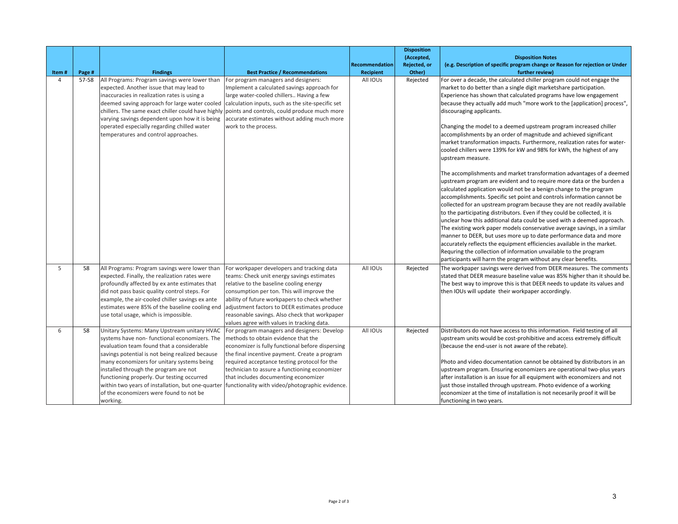| Item#          | Page # | <b>Findings</b>                                                                                                                                                                                                                                                                                                                                                                                                                        | <b>Best Practice / Recommendations</b>                                                                                                                                                                                                                                                                                                                                                                                                | Recommendation<br><b>Recipient</b> | <b>Disposition</b><br>(Accepted,<br>Rejected, or<br>Other) | <b>Disposition Notes</b><br>(e.g. Description of specific program change or Reason for rejection or Under<br>further review)                                                                                                                                                                                                                                                                                                                                                                                                                                                                                                                                                                                                                                                                                                                                                                                                                                                                                                                                                                                                                                                                                                                                                                                                                                                                                                                                                       |
|----------------|--------|----------------------------------------------------------------------------------------------------------------------------------------------------------------------------------------------------------------------------------------------------------------------------------------------------------------------------------------------------------------------------------------------------------------------------------------|---------------------------------------------------------------------------------------------------------------------------------------------------------------------------------------------------------------------------------------------------------------------------------------------------------------------------------------------------------------------------------------------------------------------------------------|------------------------------------|------------------------------------------------------------|------------------------------------------------------------------------------------------------------------------------------------------------------------------------------------------------------------------------------------------------------------------------------------------------------------------------------------------------------------------------------------------------------------------------------------------------------------------------------------------------------------------------------------------------------------------------------------------------------------------------------------------------------------------------------------------------------------------------------------------------------------------------------------------------------------------------------------------------------------------------------------------------------------------------------------------------------------------------------------------------------------------------------------------------------------------------------------------------------------------------------------------------------------------------------------------------------------------------------------------------------------------------------------------------------------------------------------------------------------------------------------------------------------------------------------------------------------------------------------|
| $\overline{a}$ | 57-58  | All Programs: Program savings were lower than<br>expected. Another issue that may lead to<br>inaccuracies in realization rates is using a<br>deemed saving approach for large water cooled<br>chillers. The same exact chiller could have highly points and controls, could produce much more<br>varying savings dependent upon how it is being<br>operated especially regarding chilled water<br>temperatures and control approaches. | For program managers and designers:<br>Implement a calculated savings approach for<br>large water-cooled chillers Having a few<br>calculation inputs, such as the site-specific set<br>accurate estimates without adding much more<br>work to the process.                                                                                                                                                                            | All IOUs                           | Rejected                                                   | For over a decade, the calculated chiller program could not engage the<br>market to do better than a single digit marketshare participation.<br>Experience has shown that calculated programs have low engagement<br>because they actually add much "more work to the [application] process",<br>discouraging applicants.<br>Changing the model to a deemed upstream program increased chiller<br>accomplishments by an order of magnitude and achieved significant<br>market transformation impacts. Furthermore, realization rates for water-<br>cooled chillers were 139% for kW and 98% for kWh, the highest of any<br>upstream measure.<br>The accomplishments and market transformation advantages of a deemed<br>upstream program are evident and to require more data or the burden a<br>calculated application would not be a benign change to the program<br>accomplishments. Specific set point and controls information cannot be<br>collected for an upstream program because they are not readily available<br>to the participating distributors. Even if they could be collected, it is<br>unclear how this additional data could be used with a deemed approach.<br>The existing work paper models conservative average savings, in a similar<br>manner to DEER, but uses more up to date performance data and more<br>accurately reflects the equipment efficiencies available in the market.<br>Requring the collection of information unvailable to the program |
| 5              | 58     | All Programs: Program savings were lower than<br>expected. Finally, the realization rates were<br>profoundly affected by ex ante estimates that<br>did not pass basic quality control steps. For<br>example, the air-cooled chiller savings ex ante<br>estimates were 85% of the baseline cooling end<br>use total usage, which is impossible.                                                                                         | For workpaper developers and tracking data<br>teams: Check unit energy savings estimates<br>relative to the baseline cooling energy<br>consumption per ton. This will improve the<br>ability of future workpapers to check whether<br>adjustment factors to DEER estimates produce<br>reasonable savings. Also check that workpaper<br>values agree with values in tracking data.                                                     | All IOUs                           | Rejected                                                   | participants will harm the program without any clear benefits.<br>The workpaper savings were derived from DEER measures. The comments<br>stated that DEER measure baseline value was 85% higher than it should be.<br>The best way to improve this is that DEER needs to update its values and<br>then IOUs will update their workpaper accordingly.                                                                                                                                                                                                                                                                                                                                                                                                                                                                                                                                                                                                                                                                                                                                                                                                                                                                                                                                                                                                                                                                                                                               |
| 6              | 58     | Unitary Systems: Many Upstream unitary HVAC<br>systems have non-functional economizers. The<br>evaluation team found that a considerable<br>savings potential is not being realized because<br>many economizers for unitary systems being<br>installed through the program are not<br>functioning properly. Our testing occurred<br>of the economizers were found to not be<br>working.                                                | For program managers and designers: Develop<br>methods to obtain evidence that the<br>economizer is fully functional before dispersing<br>the final incentive payment. Create a program<br>required acceptance testing protocol for the<br>technician to assure a functioning economizer<br>that includes documenting economizer<br>within two years of installation, but one-quarter functionality with video/photographic evidence. | All IOUs                           | Rejected                                                   | Distributors do not have access to this information. Field testing of all<br>upstream units would be cost-prohibitive and access extremely difficult<br>(because the end-user is not aware of the rebate).<br>Photo and video documentation cannot be obtained by distributors in an<br>upstream program. Ensuring economizers are operational two-plus years<br>after installation is an issue for all equipment with economizers and not<br>just those installed through upstream. Photo evidence of a working<br>economizer at the time of installation is not necesarily proof it will be<br>functioning in two years.                                                                                                                                                                                                                                                                                                                                                                                                                                                                                                                                                                                                                                                                                                                                                                                                                                                         |